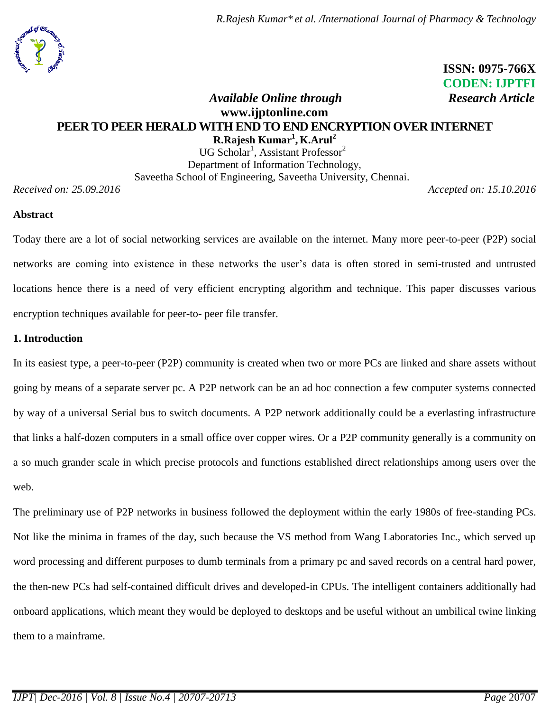*R.Rajesh Kumar\* et al. /International Journal of Pharmacy & Technology*



## **ISSN: 0975-766X CODEN: IJPTFI**  *Available Online through Research Article*

# **www.ijptonline.com PEER TO PEER HERALD WITH END TO END ENCRYPTION OVER INTERNET R.Rajesh Kumar<sup>1</sup> , K.Arul<sup>2</sup>**

 $UG Scholar<sup>1</sup>, Assistant Professor<sup>2</sup>$ Department of Information Technology, Saveetha School of Engineering, Saveetha University, Chennai.

*Received on: 25.09.2016 Accepted on: 15.10.2016*

### **Abstract**

Today there are a lot of social networking services are available on the internet. Many more peer-to-peer (P2P) social networks are coming into existence in these networks the user's data is often stored in semi-trusted and untrusted locations hence there is a need of very efficient encrypting algorithm and technique. This paper discusses various encryption techniques available for peer-to- peer file transfer.

### **1. Introduction**

In its easiest type, a peer-to-peer (P2P) community is created when two or more PCs are linked and share assets without going by means of a separate server pc. A P2P network can be an ad hoc connection a few computer systems connected by way of a universal Serial bus to switch documents. A P2P network additionally could be a everlasting infrastructure that links a half-dozen computers in a small office over copper wires. Or a P2P community generally is a community on a so much grander scale in which precise protocols and functions established direct relationships among users over the web.

The preliminary use of P2P networks in business followed the deployment within the early 1980s of free-standing PCs. Not like the minima in frames of the day, such because the VS method from Wang Laboratories Inc., which served up word processing and different purposes to dumb terminals from a primary pc and saved records on a central hard power, the then-new PCs had self-contained difficult drives and developed-in CPUs. The intelligent containers additionally had onboard applications, which meant they would be deployed to desktops and be useful without an umbilical twine linking them to a mainframe.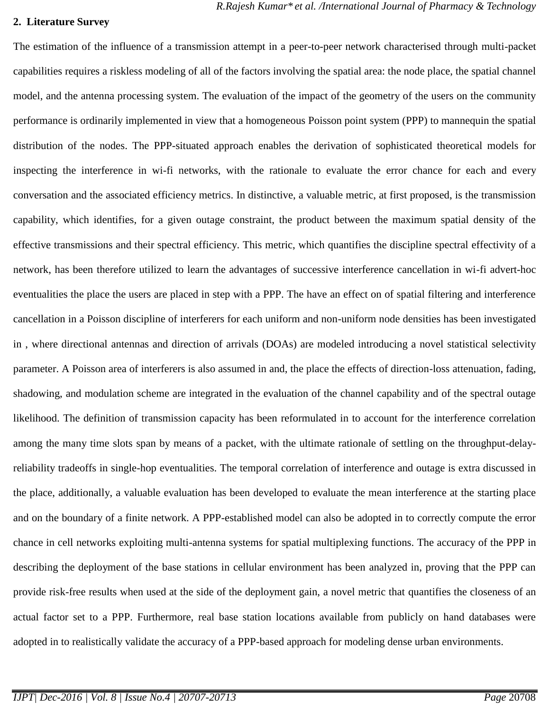#### **2. Literature Survey**

The estimation of the influence of a transmission attempt in a peer-to-peer network characterised through multi-packet capabilities requires a riskless modeling of all of the factors involving the spatial area: the node place, the spatial channel model, and the antenna processing system. The evaluation of the impact of the geometry of the users on the community performance is ordinarily implemented in view that a homogeneous Poisson point system (PPP) to mannequin the spatial distribution of the nodes. The PPP-situated approach enables the derivation of sophisticated theoretical models for inspecting the interference in wi-fi networks, with the rationale to evaluate the error chance for each and every conversation and the associated efficiency metrics. In distinctive, a valuable metric, at first proposed, is the transmission capability, which identifies, for a given outage constraint, the product between the maximum spatial density of the effective transmissions and their spectral efficiency. This metric, which quantifies the discipline spectral effectivity of a network, has been therefore utilized to learn the advantages of successive interference cancellation in wi-fi advert-hoc eventualities the place the users are placed in step with a PPP. The have an effect on of spatial filtering and interference cancellation in a Poisson discipline of interferers for each uniform and non-uniform node densities has been investigated in , where directional antennas and direction of arrivals (DOAs) are modeled introducing a novel statistical selectivity parameter. A Poisson area of interferers is also assumed in and, the place the effects of direction-loss attenuation, fading, shadowing, and modulation scheme are integrated in the evaluation of the channel capability and of the spectral outage likelihood. The definition of transmission capacity has been reformulated in to account for the interference correlation among the many time slots span by means of a packet, with the ultimate rationale of settling on the throughput-delayreliability tradeoffs in single-hop eventualities. The temporal correlation of interference and outage is extra discussed in the place, additionally, a valuable evaluation has been developed to evaluate the mean interference at the starting place and on the boundary of a finite network. A PPP-established model can also be adopted in to correctly compute the error chance in cell networks exploiting multi-antenna systems for spatial multiplexing functions. The accuracy of the PPP in describing the deployment of the base stations in cellular environment has been analyzed in, proving that the PPP can provide risk-free results when used at the side of the deployment gain, a novel metric that quantifies the closeness of an actual factor set to a PPP. Furthermore, real base station locations available from publicly on hand databases were adopted in to realistically validate the accuracy of a PPP-based approach for modeling dense urban environments.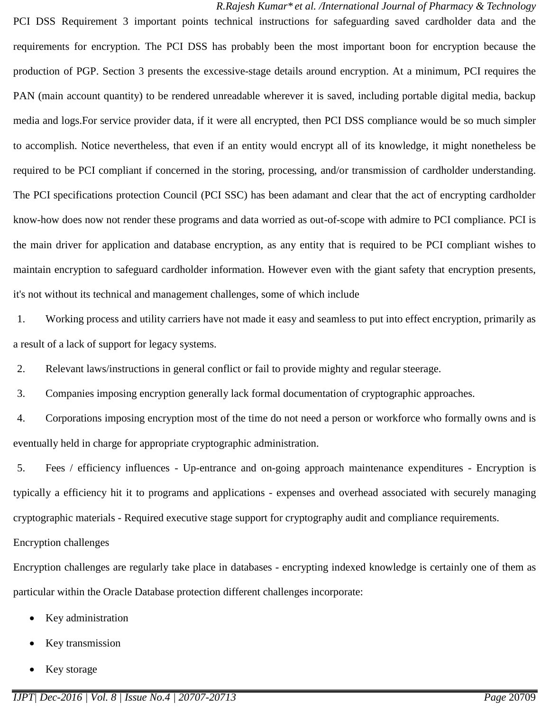PCI DSS Requirement 3 important points technical instructions for safeguarding saved cardholder data and the requirements for encryption. The PCI DSS has probably been the most important boon for encryption because the production of PGP. Section 3 presents the excessive-stage details around encryption. At a minimum, PCI requires the PAN (main account quantity) to be rendered unreadable wherever it is saved, including portable digital media, backup media and logs.For service provider data, if it were all encrypted, then PCI DSS compliance would be so much simpler to accomplish. Notice nevertheless, that even if an entity would encrypt all of its knowledge, it might nonetheless be required to be PCI compliant if concerned in the storing, processing, and/or transmission of cardholder understanding. The PCI specifications protection Council (PCI SSC) has been adamant and clear that the act of encrypting cardholder know-how does now not render these programs and data worried as out-of-scope with admire to PCI compliance. PCI is the main driver for application and database encryption, as any entity that is required to be PCI compliant wishes to maintain encryption to safeguard cardholder information. However even with the giant safety that encryption presents, it's not without its technical and management challenges, some of which include

1. Working process and utility carriers have not made it easy and seamless to put into effect encryption, primarily as a result of a lack of support for legacy systems.

2. Relevant laws/instructions in general conflict or fail to provide mighty and regular steerage.

3. Companies imposing encryption generally lack formal documentation of cryptographic approaches.

4. Corporations imposing encryption most of the time do not need a person or workforce who formally owns and is eventually held in charge for appropriate cryptographic administration.

5. Fees / efficiency influences - Up-entrance and on-going approach maintenance expenditures - Encryption is typically a efficiency hit it to programs and applications - expenses and overhead associated with securely managing cryptographic materials - Required executive stage support for cryptography audit and compliance requirements.

### Encryption challenges

Encryption challenges are regularly take place in databases - encrypting indexed knowledge is certainly one of them as particular within the Oracle Database protection different challenges incorporate:

- Key administration
- Key transmission
- Key storage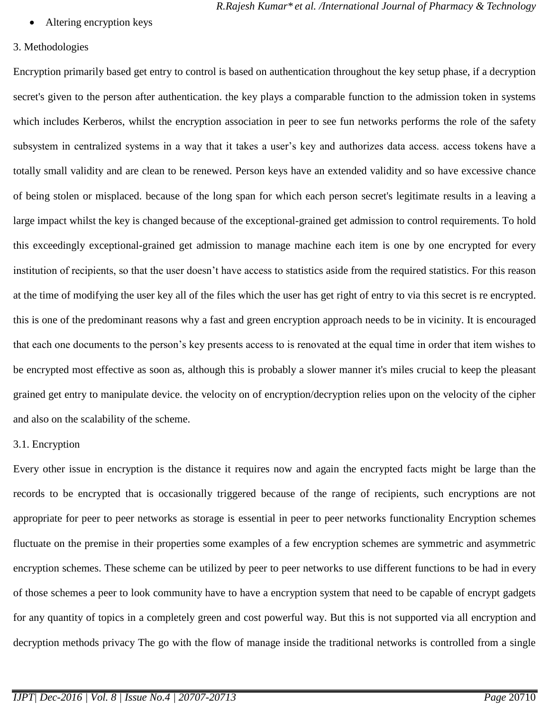Altering encryption keys

#### 3. Methodologies

Encryption primarily based get entry to control is based on authentication throughout the key setup phase, if a decryption secret's given to the person after authentication. the key plays a comparable function to the admission token in systems which includes Kerberos, whilst the encryption association in peer to see fun networks performs the role of the safety subsystem in centralized systems in a way that it takes a user's key and authorizes data access. access tokens have a totally small validity and are clean to be renewed. Person keys have an extended validity and so have excessive chance of being stolen or misplaced. because of the long span for which each person secret's legitimate results in a leaving a large impact whilst the key is changed because of the exceptional-grained get admission to control requirements. To hold this exceedingly exceptional-grained get admission to manage machine each item is one by one encrypted for every institution of recipients, so that the user doesn't have access to statistics aside from the required statistics. For this reason at the time of modifying the user key all of the files which the user has get right of entry to via this secret is re encrypted. this is one of the predominant reasons why a fast and green encryption approach needs to be in vicinity. It is encouraged that each one documents to the person's key presents access to is renovated at the equal time in order that item wishes to be encrypted most effective as soon as, although this is probably a slower manner it's miles crucial to keep the pleasant grained get entry to manipulate device. the velocity on of encryption/decryption relies upon on the velocity of the cipher and also on the scalability of the scheme.

#### 3.1. Encryption

Every other issue in encryption is the distance it requires now and again the encrypted facts might be large than the records to be encrypted that is occasionally triggered because of the range of recipients, such encryptions are not appropriate for peer to peer networks as storage is essential in peer to peer networks functionality Encryption schemes fluctuate on the premise in their properties some examples of a few encryption schemes are symmetric and asymmetric encryption schemes. These scheme can be utilized by peer to peer networks to use different functions to be had in every of those schemes a peer to look community have to have a encryption system that need to be capable of encrypt gadgets for any quantity of topics in a completely green and cost powerful way. But this is not supported via all encryption and decryption methods privacy The go with the flow of manage inside the traditional networks is controlled from a single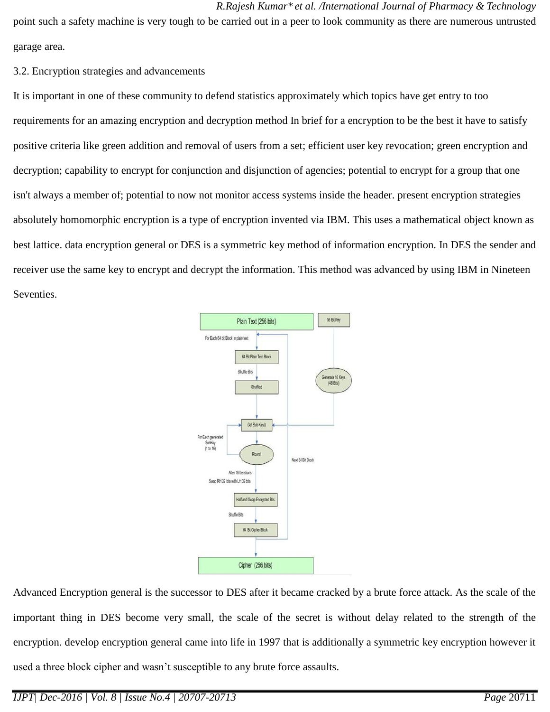#### *R.Rajesh Kumar\* et al. /International Journal of Pharmacy & Technology*

point such a safety machine is very tough to be carried out in a peer to look community as there are numerous untrusted garage area.

3.2. Encryption strategies and advancements

It is important in one of these community to defend statistics approximately which topics have get entry to too requirements for an amazing encryption and decryption method In brief for a encryption to be the best it have to satisfy positive criteria like green addition and removal of users from a set; efficient user key revocation; green encryption and decryption; capability to encrypt for conjunction and disjunction of agencies; potential to encrypt for a group that one isn't always a member of; potential to now not monitor access systems inside the header. present encryption strategies absolutely homomorphic encryption is a type of encryption invented via IBM. This uses a mathematical object known as best lattice. data encryption general or DES is a symmetric key method of information encryption. In DES the sender and receiver use the same key to encrypt and decrypt the information. This method was advanced by using IBM in Nineteen Seventies.



Advanced Encryption general is the successor to DES after it became cracked by a brute force attack. As the scale of the important thing in DES become very small, the scale of the secret is without delay related to the strength of the encryption. develop encryption general came into life in 1997 that is additionally a symmetric key encryption however it used a three block cipher and wasn't susceptible to any brute force assaults.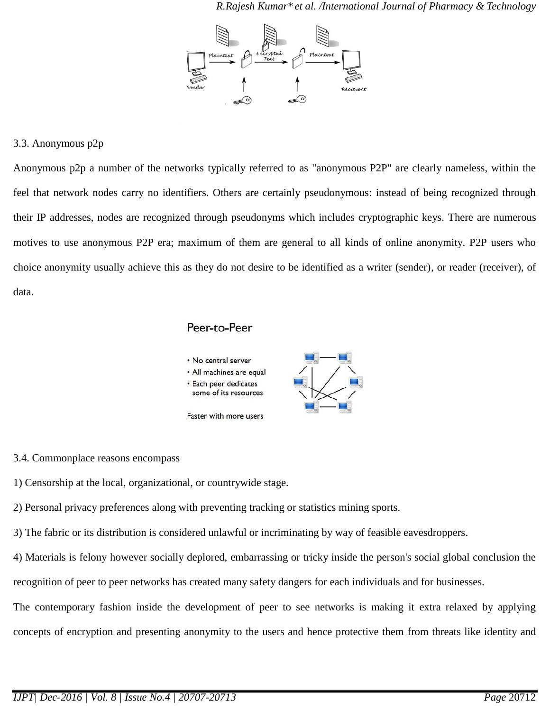

#### 3.3. Anonymous p2p

Anonymous p2p a number of the networks typically referred to as "anonymous P2P" are clearly nameless, within the feel that network nodes carry no identifiers. Others are certainly pseudonymous: instead of being recognized through their IP addresses, nodes are recognized through pseudonyms which includes cryptographic keys. There are numerous motives to use anonymous P2P era; maximum of them are general to all kinds of online anonymity. P2P users who choice anonymity usually achieve this as they do not desire to be identified as a writer (sender), or reader (receiver), of data.

### Peer-to-Peer



#### 3.4. Commonplace reasons encompass

1) Censorship at the local, organizational, or countrywide stage.

2) Personal privacy preferences along with preventing tracking or statistics mining sports.

3) The fabric or its distribution is considered unlawful or incriminating by way of feasible eavesdroppers.

4) Materials is felony however socially deplored, embarrassing or tricky inside the person's social global conclusion the recognition of peer to peer networks has created many safety dangers for each individuals and for businesses.

The contemporary fashion inside the development of peer to see networks is making it extra relaxed by applying concepts of encryption and presenting anonymity to the users and hence protective them from threats like identity and